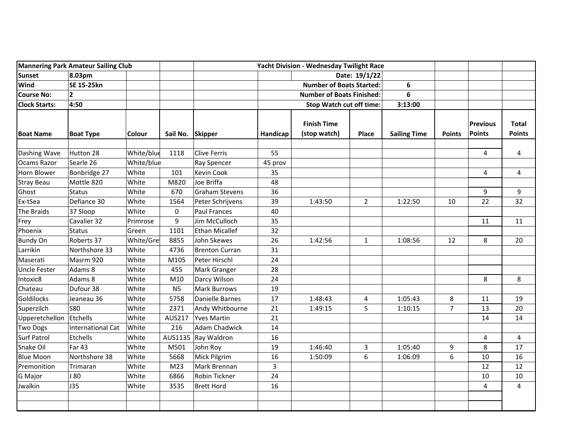| <b>Mannering Park Amateur Sailing Club</b> |                   |               |                  | Yacht Division - Wednesday Twilight Race |                                       |                                    |                |                     |                |                    |                               |
|--------------------------------------------|-------------------|---------------|------------------|------------------------------------------|---------------------------------------|------------------------------------|----------------|---------------------|----------------|--------------------|-------------------------------|
| <b>Sunset</b>                              | 8.03pm            |               |                  |                                          | Date: 19/1/22                         |                                    |                |                     |                |                    |                               |
| Wind                                       | SE 15-25kn        |               |                  |                                          | <b>Number of Boats Started:</b><br>6  |                                    |                |                     |                |                    |                               |
| <b>Course No:</b>                          | $\mathbf{2}$      |               |                  |                                          | <b>Number of Boats Finished:</b><br>6 |                                    |                |                     |                |                    |                               |
| <b>Clock Starts:</b>                       | 4:50              |               |                  |                                          |                                       | <b>Stop Watch cut off time:</b>    |                | 3:13:00             |                |                    |                               |
| <b>Boat Name</b>                           | <b>Boat Type</b>  | <b>Colour</b> | Sail No. Skipper |                                          | Handicap                              | <b>Finish Time</b><br>(stop watch) | Place          | <b>Sailing Time</b> | <b>Points</b>  | Previous<br>Points | <b>Total</b><br><b>Points</b> |
| Dashing Wave                               | Hutton 28         | White/blue    | 1118             | <b>Clive Ferris</b>                      | 55                                    |                                    |                |                     |                | 4                  | 4                             |
| Ocams Razor                                | Searle 26         | White/blue    |                  | Ray Spencer                              | 45 prov                               |                                    |                |                     |                |                    |                               |
| Horn Blower                                | Bonbridge 27      | White         | 101              | Kevin Cook                               | 35                                    |                                    |                |                     |                | 4                  | 4                             |
| <b>Stray Beau</b>                          | Mottle 820        | White         | M820             | Joe Briffa                               | 48                                    |                                    |                |                     |                |                    |                               |
| Ghost                                      | <b>Status</b>     | White         | 670              | Graham Stevens                           | 36                                    |                                    |                |                     |                | 9                  | 9                             |
| Ex-tSea                                    | Defiance 30       | White         | 1564             | Peter Schrijvens                         | 39                                    | 1:43:50                            | $\overline{2}$ | 1:22:50             | 10             | 22                 | 32                            |
| The Braids                                 | 37 Sloop          | White         | 0                | <b>Paul Frances</b>                      | 40                                    |                                    |                |                     |                |                    |                               |
| Frey                                       | Cavalier 32       | Primrose      | 9                | Jim McCulloch                            | 35                                    |                                    |                |                     |                | 11                 | 11                            |
| Phoenix                                    | <b>Status</b>     | Green         | 1101             | <b>Ethan Micallef</b>                    | 32                                    |                                    |                |                     |                |                    |                               |
| <b>Bundy On</b>                            | Roberts 37        | White/Gre     | 8855             | John Skewes                              | 26                                    | 1:42:56                            | $\mathbf{1}$   | 1:08:56             | 12             | 8                  | 20                            |
| Larrikin                                   | Northshore 33     | White         | 4736             | <b>Brenton Curran</b>                    | 31                                    |                                    |                |                     |                |                    |                               |
| Maserati                                   | Masrm 920         | White         | M105             | Peter Hirschl                            | 24                                    |                                    |                |                     |                |                    |                               |
| <b>Uncle Fester</b>                        | Adams 8           | White         | 455              | Mark Granger                             | 28                                    |                                    |                |                     |                |                    |                               |
| Intoxic8                                   | Adams 8           | White         | M10              | Darcy Wilson                             | 24                                    |                                    |                |                     |                | 8                  | 8                             |
| Chateau                                    | Dufour 38         | White         | N <sub>5</sub>   | <b>Mark Burrows</b>                      | 19                                    |                                    |                |                     |                |                    |                               |
| Goldilocks                                 | Jeaneau 36        | White         | 5758             | Danielle Barnes                          | 17                                    | 1:48:43                            | 4              | 1:05:43             | 8              | 11                 | 19                            |
| Superzilch                                 | <b>S80</b>        | White         | 2371             | Andy Whitbourne                          | 21                                    | 1:49:15                            | 5              | 1:10:15             | $\overline{7}$ | 13                 | 20                            |
| Upperetchellon                             | Etchells          | White         | AUS217           | <b>Yves Martin</b>                       | 21                                    |                                    |                |                     |                | 14                 | 14                            |
| <b>Two Dogs</b>                            | International Cat | White         | 216              | Adam Chadwick                            | 14                                    |                                    |                |                     |                |                    |                               |
| <b>Surf Patrol</b>                         | Etchells          | White         |                  | AUS1135 Ray Waldron                      | 16                                    |                                    |                |                     |                | 4                  | 4                             |
| Snake Oil                                  | <b>Far 43</b>     | White         | M501             | John Roy                                 | 19                                    | 1:46:40                            | 3              | 1:05:40             | 9              | 8                  | 17                            |
| <b>Blue Moon</b>                           | Northshore 38     | White         | 5668             | Mick Pilgrim                             | 16                                    | 1:50:09                            | 6              | 1:06:09             | 6              | 10                 | 16                            |
| Premonition                                | Trimaran          | White         | M23              | Mark Brennan                             | 3                                     |                                    |                |                     |                | 12                 | 12                            |
| G Major                                    | J80               | White         | 6866             | Robin Tickner                            | 24                                    |                                    |                |                     |                | 10                 | 10                            |
| Jwalkin                                    | <b>J35</b>        | White         | 3535             | <b>Brett Hord</b>                        | 16                                    |                                    |                |                     |                | 4                  | $\overline{4}$                |
|                                            |                   |               |                  |                                          |                                       |                                    |                |                     |                |                    |                               |